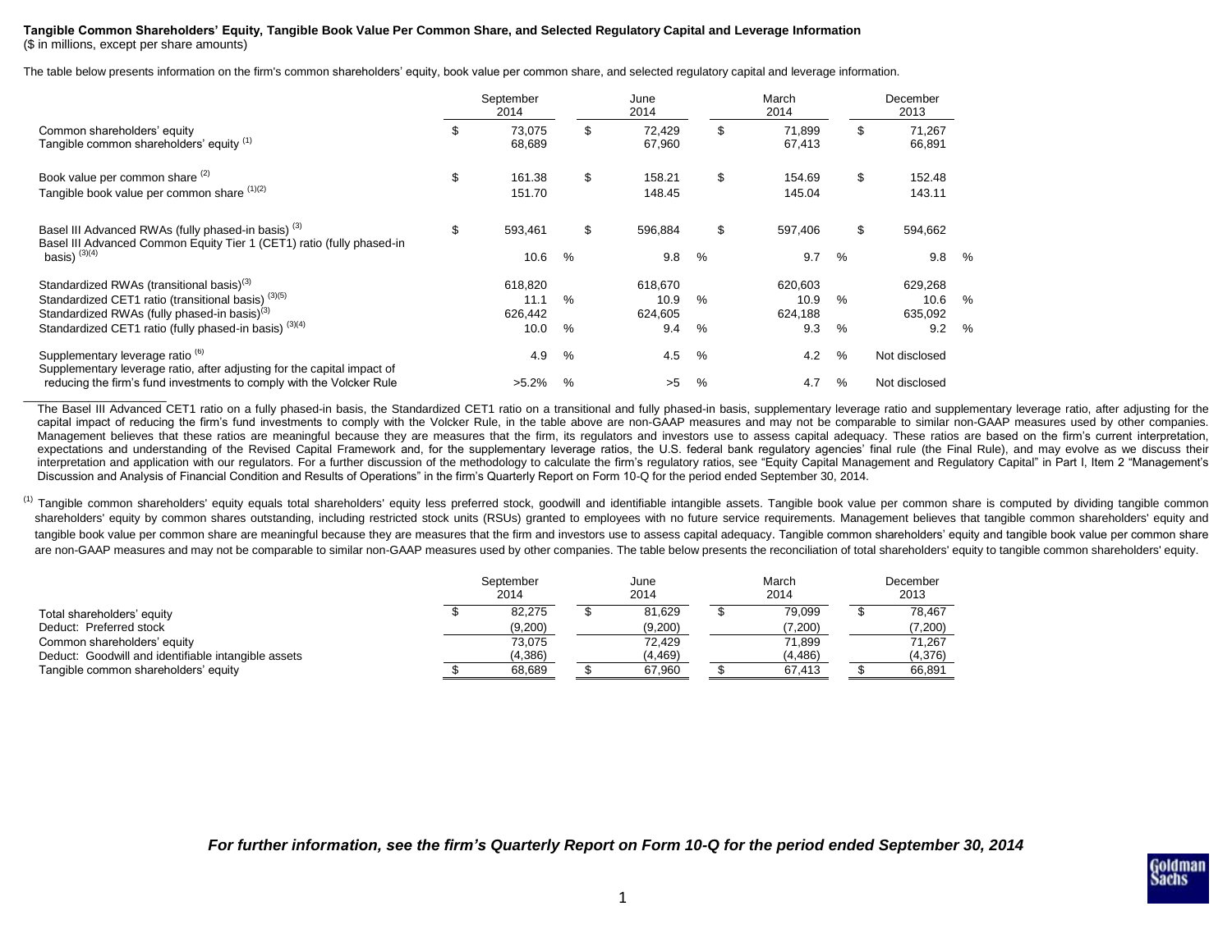## **Tangible Common Shareholders' Equity, Tangible Book Value Per Common Share, and Selected Regulatory Capital and Leverage Information**

(\$ in millions, except per share amounts)

The table below presents information on the firm's common shareholders' equity, book value per common share, and selected regulatory capital and leverage information.

|                                                                                                                                                                                                                                               |    | September<br>2014                  |            | June<br>2014                      |              | March<br>2014                     | December<br>2013 |                                   |              |
|-----------------------------------------------------------------------------------------------------------------------------------------------------------------------------------------------------------------------------------------------|----|------------------------------------|------------|-----------------------------------|--------------|-----------------------------------|------------------|-----------------------------------|--------------|
| Common shareholders' equity<br>Tangible common shareholders' equity (1)                                                                                                                                                                       | ß. | 73,075<br>68,689                   | \$         | 72,429<br>67,960                  | \$           | 71,899<br>67,413                  | \$               | 71,267<br>66,891                  |              |
| Book value per common share (2)<br>Tangible book value per common share (1)(2)                                                                                                                                                                | \$ | 161.38<br>151.70                   | \$         | 158.21<br>148.45                  | \$           | 154.69<br>145.04                  | \$               | 152.48<br>143.11                  |              |
| Basel III Advanced RWAs (fully phased-in basis) <sup>(3)</sup><br>Basel III Advanced Common Equity Tier 1 (CET1) ratio (fully phased-in<br>basis) $(3)(4)$                                                                                    | \$ | 593,461<br>10.6                    | \$<br>$\%$ | 596,884<br>9.8                    | \$<br>%      | 597,406<br>9.7                    | \$<br>$\%$       | 594,662<br>9.8                    | $\%$         |
| Standardized RWAs (transitional basis) <sup>(3)</sup><br>Standardized CET1 ratio (transitional basis) <sup>(3)(5)</sup><br>Standardized RWAs (fully phased-in basis) <sup>(3)</sup><br>Standardized CET1 ratio (fully phased-in basis) (3)(4) |    | 618,820<br>11.1<br>626,442<br>10.0 | %<br>%     | 618,670<br>10.9<br>624,605<br>9.4 | $\%$<br>%    | 620,603<br>10.9<br>624,188<br>9.3 | $\%$<br>%        | 629,268<br>10.6<br>635,092<br>9.2 | $\%$<br>$\%$ |
| Supplementary leverage ratio <sup>(6)</sup><br>Supplementary leverage ratio, after adjusting for the capital impact of<br>reducing the firm's fund investments to comply with the Volcker Rule                                                |    | 4.9<br>$>5.2\%$                    | $\%$<br>%  | 4.5<br>>5                         | $\%$<br>$\%$ | 4.2<br>4.7                        | $\%$<br>$\%$     | Not disclosed<br>Not disclosed    |              |

\_\_\_\_\_\_\_\_\_\_\_\_\_\_\_\_\_\_\_\_\_\_ The Basel III Advanced CET1 ratio on a fully phased-in basis, the Standardized CET1 ratio on a transitional and fully phased-in basis, supplementary leverage ratio and supplementary leverage ratio, after adjusting for the capital impact of reducing the firm's fund investments to comply with the Volcker Rule, in the table above are non-GAAP measures and may not be comparable to similar non-GAAP measures used by other companies. Management believes that these ratios are meaningful because they are measures that the firm, its regulators and investors use to assess capital adequacy. These ratios are based on the firm's current interpretation, expectations and understanding of the Revised Capital Framework and, for the supplementary leverage ratios, the U.S. federal bank regulatory agencies' final rule (the Final Rule), and may evolve as we discuss their interpretation and application with our regulators. For a further discussion of the methodology to calculate the firm's regulatory ratios, see "Equity Capital Management and Regulatory Capital" in Part I, Item 2 "Managemen Discussion and Analysis of Financial Condition and Results of Operations" in the firm's Quarterly Report on Form 10-Q for the period ended September 30, 2014.

<sup>(1)</sup> Tangible common shareholders' equity equals total shareholders' equity less preferred stock, goodwill and identifiable intangible assets. Tangible book value per common share is computed by dividing tangible common shareholders' equity by common shares outstanding, including restricted stock units (RSUs) granted to employees with no future service requirements. Management believes that tangible common shareholders' equity and tangible book value per common share are meaningful because they are measures that the firm and investors use to assess capital adequacy. Tangible common shareholders' equity and tangible book value per common share are non-GAAP measures and may not be comparable to similar non-GAAP measures used by other companies. The table below presents the reconciliation of total shareholders' equity to tangible common shareholders' equity.

|                                                     | September<br>2014 |  | June<br>2014 |  | March<br>2014 |  | December<br>2013 |
|-----------------------------------------------------|-------------------|--|--------------|--|---------------|--|------------------|
| Total shareholders' equity                          | 82.275            |  | 81.629       |  | 79.099        |  | 78.467           |
| Deduct: Preferred stock                             | (9,200)           |  | (9,200)      |  | (7, 200)      |  | (7,200)          |
| Common shareholders' equity                         | 73.075            |  | 72.429       |  | 71.899        |  | 71.267           |
| Deduct: Goodwill and identifiable intangible assets | (4,386)           |  | (4, 469)     |  | (4, 486)      |  | (4,376)          |
| Tangible common shareholders' equity                | 68.689            |  | 67,960       |  | 67.413        |  | 66.891           |

*For further information, see the firm's Quarterly Report on Form 10-Q for the period ended September 30, 2014*